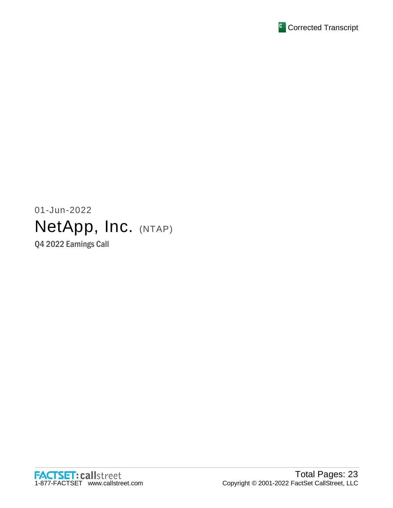

# 01-Jun-2022 NetApp, Inc. (NTAP) Q4 2022 Earnings Call

FACTSET: callstreet<br>1-877-FACTSET www.callstreet.com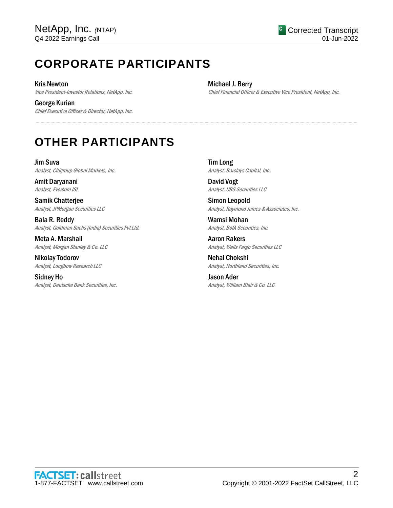# **CORPORATE PARTICIPANTS**

Kris Newton Vice President-Investor Relations, NetApp, Inc.

George Kurian Chief Executive Officer & Director, NetApp, Inc. Michael J. Berry Chief Financial Officer & Executive Vice President, NetApp, Inc.

## **OTHER PARTICIPANTS**

Jim Suva Analyst, Citigroup Global Markets, Inc.

Amit Daryanani Analyst, Evercore ISI

Samik Chatterjee Analyst, JPMorgan Securities LLC

Bala R. Reddy Analyst, Goldman Sachs (India) Securities Pvt Ltd.

Meta A. Marshall Analyst, Morgan Stanley & Co. LLC

Nikolay Todorov Analyst, Longbow Research LLC

Sidney Ho Analyst, Deutsche Bank Securities, Inc. Tim Long Analyst, Barclays Capital, Inc.

.....................................................................................................................................................................................................................................................................

David Vogt Analyst, UBS Securities LLC

Simon Leopold Analyst, Raymond James & Associates, Inc.

Wamsi Mohan Analyst, BofA Securities, Inc.

Aaron Rakers Analyst, Wells Fargo Securities LLC

Nehal Chokshi Analyst, Northland Securities, Inc.

Jason Ader Analyst, William Blair & Co. LLC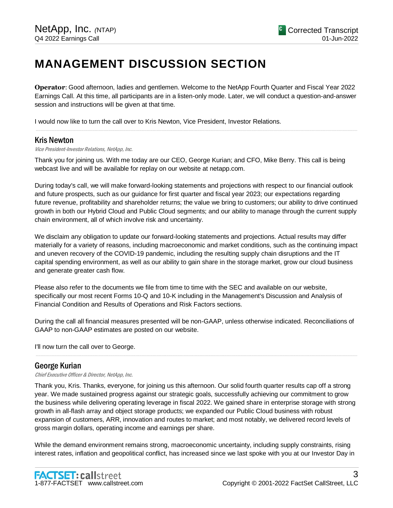## **MANAGEMENT DISCUSSION SECTION**

**Operator**: Good afternoon, ladies and gentlemen. Welcome to the NetApp Fourth Quarter and Fiscal Year 2022 Earnings Call. At this time, all participants are in a listen-only mode. Later, we will conduct a question-and-answer session and instructions will be given at that time.

.....................................................................................................................................................................................................................................................................

I would now like to turn the call over to Kris Newton, Vice President, Investor Relations.

### Kris Newton

Vice President-Investor Relations, NetApp, Inc.

Thank you for joining us. With me today are our CEO, George Kurian; and CFO, Mike Berry. This call is being webcast live and will be available for replay on our website at netapp.com.

During today's call, we will make forward-looking statements and projections with respect to our financial outlook and future prospects, such as our guidance for first quarter and fiscal year 2023; our expectations regarding future revenue, profitability and shareholder returns; the value we bring to customers; our ability to drive continued growth in both our Hybrid Cloud and Public Cloud segments; and our ability to manage through the current supply chain environment, all of which involve risk and uncertainty.

We disclaim any obligation to update our forward-looking statements and projections. Actual results may differ materially for a variety of reasons, including macroeconomic and market conditions, such as the continuing impact and uneven recovery of the COVID-19 pandemic, including the resulting supply chain disruptions and the IT capital spending environment, as well as our ability to gain share in the storage market, grow our cloud business and generate greater cash flow.

Please also refer to the documents we file from time to time with the SEC and available on our website, specifically our most recent Forms 10-Q and 10-K including in the Management's Discussion and Analysis of Financial Condition and Results of Operations and Risk Factors sections.

During the call all financial measures presented will be non-GAAP, unless otherwise indicated. Reconciliations of GAAP to non-GAAP estimates are posted on our website.

.....................................................................................................................................................................................................................................................................

I'll now turn the call over to George.

### George Kurian

Chief Executive Officer & Director, NetApp, Inc.

Thank you, Kris. Thanks, everyone, for joining us this afternoon. Our solid fourth quarter results cap off a strong year. We made sustained progress against our strategic goals, successfully achieving our commitment to grow the business while delivering operating leverage in fiscal 2022. We gained share in enterprise storage with strong growth in all-flash array and object storage products; we expanded our Public Cloud business with robust expansion of customers, ARR, innovation and routes to market; and most notably, we delivered record levels of gross margin dollars, operating income and earnings per share.

While the demand environment remains strong, macroeconomic uncertainty, including supply constraints, rising interest rates, inflation and geopolitical conflict, has increased since we last spoke with you at our Investor Day in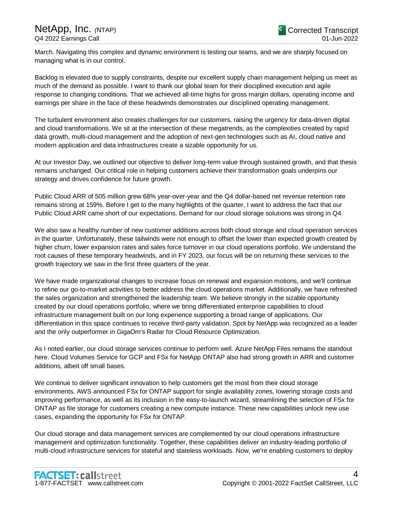March. Navigating this complex and dynamic environment is testing our teams, and we are sharply focused on managing what is in our control.

Backlog is elevated due to supply constraints, despite our excellent supply chain management helping us meet as much of the demand as possible. I want to thank our global team for their disciplined execution and agile response to changing conditions. That we achieved all-time highs for gross margin dollars, operating income and earnings per share in the face of these headwinds demonstrates our disciplined operating management.

The turbulent environment also creates challenges for our customers, raising the urgency for data-driven digital and cloud transformations. We sit at the intersection of these megatrends, as the complexities created by rapid data growth, multi-cloud management and the adoption of next-gen technologies such as AI, cloud native and modern application and data infrastructures create a sizable opportunity for us.

At our Investor Day, we outlined our objective to deliver long-term value through sustained growth, and that thesis remains unchanged. Our critical role in helping customers achieve their transformation goals underpins our strategy and drives confidence for future growth.

Public Cloud ARR of 505 million grew 68% year-over-year and the Q4 dollar-based net revenue retention rate remains strong at 159%. Before I get to the many highlights of the quarter, I want to address the fact that our Public Cloud ARR came short of our expectations. Demand for our cloud storage solutions was strong in Q4.

We also saw a healthy number of new customer additions across both cloud storage and cloud operation services in the quarter. Unfortunately, these tailwinds were not enough to offset the lower than expected growth created by higher churn, lower expansion rates and sales force turnover in our cloud operations portfolio. We understand the root causes of these temporary headwinds, and in FY 2023, our focus will be on returning these services to the growth trajectory we saw in the first three quarters of the year.

We have made organizational changes to increase focus on renewal and expansion motions, and we'll continue to refine our go-to-market activities to better address the cloud operations market. Additionally, we have refreshed the sales organization and strengthened the leadership team. We believe strongly in the sizable opportunity created by our cloud operations portfolio, where we bring differentiated enterprise capabilities to cloud infrastructure management built on our long experience supporting a broad range of applications. Our differentiation in this space continues to receive third-party validation. Spot by NetApp was recognized as a leader and the only outperformer in GigaOm's Radar for Cloud Resource Optimization.

As I noted earlier, our cloud storage services continue to perform well. Azure NetApp Files remains the standout here. Cloud Volumes Service for GCP and FSx for NetApp ONTAP also had strong growth in ARR and customer additions, albeit off small bases.

We continue to deliver significant innovation to help customers get the most from their cloud storage environments. AWS announced FSx for ONTAP support for single availability zones, lowering storage costs and improving performance, as well as its inclusion in the easy-to-launch wizard, streamlining the selection of FSx for ONTAP as file storage for customers creating a new compute instance. These new capabilities unlock new use cases, expanding the opportunity for FSx for ONTAP.

Our cloud storage and data management services are complemented by our cloud operations infrastructure management and optimization functionality. Together, these capabilities deliver an industry-leading portfolio of multi-cloud infrastructure services for stateful and stateless workloads. Now, we're enabling customers to deploy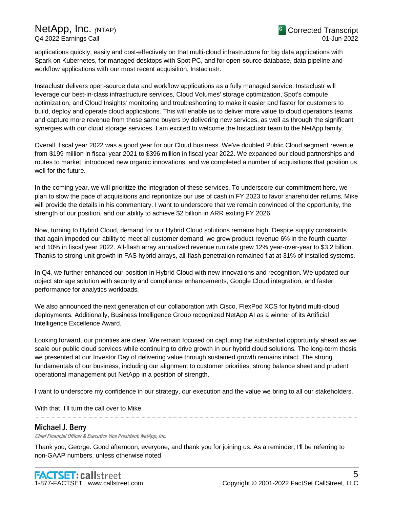applications quickly, easily and cost-effectively on that multi-cloud infrastructure for big data applications with Spark on Kubernetes, for managed desktops with Spot PC, and for open-source database, data pipeline and workflow applications with our most recent acquisition, Instaclustr.

Instaclustr delivers open-source data and workflow applications as a fully managed service. Instaclustr will leverage our best-in-class infrastructure services, Cloud Volumes' storage optimization, Spot's compute optimization, and Cloud Insights' monitoring and troubleshooting to make it easier and faster for customers to build, deploy and operate cloud applications. This will enable us to deliver more value to cloud operations teams and capture more revenue from those same buyers by delivering new services, as well as through the significant synergies with our cloud storage services. I am excited to welcome the Instaclustr team to the NetApp family.

Overall, fiscal year 2022 was a good year for our Cloud business. We've doubled Public Cloud segment revenue from \$199 million in fiscal year 2021 to \$396 million in fiscal year 2022. We expanded our cloud partnerships and routes to market, introduced new organic innovations, and we completed a number of acquisitions that position us well for the future.

In the coming year, we will prioritize the integration of these services. To underscore our commitment here, we plan to slow the pace of acquisitions and reprioritize our use of cash in FY 2023 to favor shareholder returns. Mike will provide the details in his commentary. I want to underscore that we remain convinced of the opportunity, the strength of our position, and our ability to achieve \$2 billion in ARR exiting FY 2026.

Now, turning to Hybrid Cloud, demand for our Hybrid Cloud solutions remains high. Despite supply constraints that again impeded our ability to meet all customer demand, we grew product revenue 6% in the fourth quarter and 10% in fiscal year 2022. All-flash array annualized revenue run rate grew 12% year-over-year to \$3.2 billion. Thanks to strong unit growth in FAS hybrid arrays, all-flash penetration remained flat at 31% of installed systems.

In Q4, we further enhanced our position in Hybrid Cloud with new innovations and recognition. We updated our object storage solution with security and compliance enhancements, Google Cloud integration, and faster performance for analytics workloads.

We also announced the next generation of our collaboration with Cisco, FlexPod XCS for hybrid multi-cloud deployments. Additionally, Business Intelligence Group recognized NetApp AI as a winner of its Artificial Intelligence Excellence Award.

Looking forward, our priorities are clear. We remain focused on capturing the substantial opportunity ahead as we scale our public cloud services while continuing to drive growth in our hybrid cloud solutions. The long-term thesis we presented at our Investor Day of delivering value through sustained growth remains intact. The strong fundamentals of our business, including our alignment to customer priorities, strong balance sheet and prudent operational management put NetApp in a position of strength.

I want to underscore my confidence in our strategy, our execution and the value we bring to all our stakeholders.

.....................................................................................................................................................................................................................................................................

With that, I'll turn the call over to Mike.

### Michael J. Berry

Chief Financial Officer & Executive Vice President, NetApp, Inc.

Thank you, George. Good afternoon, everyone, and thank you for joining us. As a reminder, I'll be referring to non-GAAP numbers, unless otherwise noted.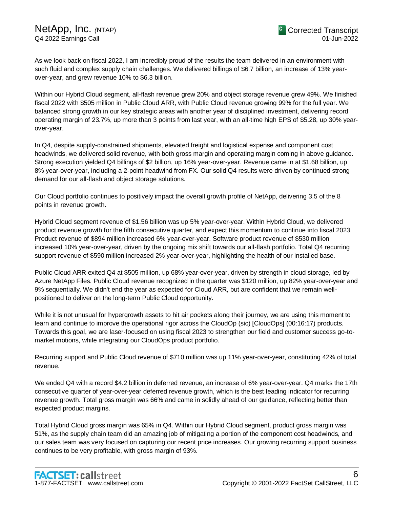As we look back on fiscal 2022, I am incredibly proud of the results the team delivered in an environment with such fluid and complex supply chain challenges. We delivered billings of \$6.7 billion, an increase of 13% yearover-year, and grew revenue 10% to \$6.3 billion.

Within our Hybrid Cloud segment, all-flash revenue grew 20% and object storage revenue grew 49%. We finished fiscal 2022 with \$505 million in Public Cloud ARR, with Public Cloud revenue growing 99% for the full year. We balanced strong growth in our key strategic areas with another year of disciplined investment, delivering record operating margin of 23.7%, up more than 3 points from last year, with an all-time high EPS of \$5.28, up 30% yearover-year.

In Q4, despite supply-constrained shipments, elevated freight and logistical expense and component cost headwinds, we delivered solid revenue, with both gross margin and operating margin coming in above guidance. Strong execution yielded Q4 billings of \$2 billion, up 16% year-over-year. Revenue came in at \$1.68 billion, up 8% year-over-year, including a 2-point headwind from FX. Our solid Q4 results were driven by continued strong demand for our all-flash and object storage solutions.

Our Cloud portfolio continues to positively impact the overall growth profile of NetApp, delivering 3.5 of the 8 points in revenue growth.

Hybrid Cloud segment revenue of \$1.56 billion was up 5% year-over-year. Within Hybrid Cloud, we delivered product revenue growth for the fifth consecutive quarter, and expect this momentum to continue into fiscal 2023. Product revenue of \$894 million increased 6% year-over-year. Software product revenue of \$530 million increased 10% year-over-year, driven by the ongoing mix shift towards our all-flash portfolio. Total Q4 recurring support revenue of \$590 million increased 2% year-over-year, highlighting the health of our installed base.

Public Cloud ARR exited Q4 at \$505 million, up 68% year-over-year, driven by strength in cloud storage, led by Azure NetApp Files. Public Cloud revenue recognized in the quarter was \$120 million, up 82% year-over-year and 9% sequentially. We didn't end the year as expected for Cloud ARR, but are confident that we remain wellpositioned to deliver on the long-term Public Cloud opportunity.

While it is not unusual for hypergrowth assets to hit air pockets along their journey, we are using this moment to learn and continue to improve the operational rigor across the CloudOp (sic) [CloudOps] (00:16:17) products. Towards this goal, we are laser-focused on using fiscal 2023 to strengthen our field and customer success go-tomarket motions, while integrating our CloudOps product portfolio.

Recurring support and Public Cloud revenue of \$710 million was up 11% year-over-year, constituting 42% of total revenue.

We ended Q4 with a record \$4.2 billion in deferred revenue, an increase of 6% year-over-year. Q4 marks the 17th consecutive quarter of year-over-year deferred revenue growth, which is the best leading indicator for recurring revenue growth. Total gross margin was 66% and came in solidly ahead of our guidance, reflecting better than expected product margins.

Total Hybrid Cloud gross margin was 65% in Q4. Within our Hybrid Cloud segment, product gross margin was 51%, as the supply chain team did an amazing job of mitigating a portion of the component cost headwinds, and our sales team was very focused on capturing our recent price increases. Our growing recurring support business continues to be very profitable, with gross margin of 93%.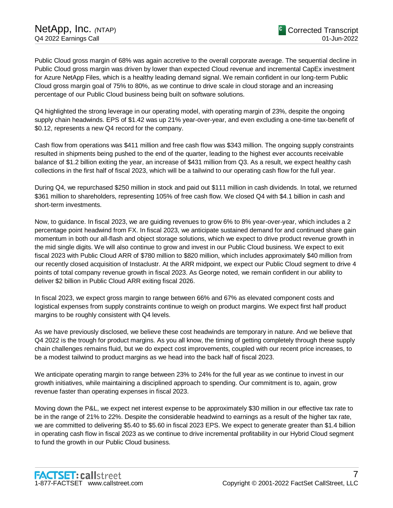Public Cloud gross margin of 68% was again accretive to the overall corporate average. The sequential decline in Public Cloud gross margin was driven by lower than expected Cloud revenue and incremental CapEx investment for Azure NetApp Files, which is a healthy leading demand signal. We remain confident in our long-term Public Cloud gross margin goal of 75% to 80%, as we continue to drive scale in cloud storage and an increasing percentage of our Public Cloud business being built on software solutions.

Q4 highlighted the strong leverage in our operating model, with operating margin of 23%, despite the ongoing supply chain headwinds. EPS of \$1.42 was up 21% year-over-year, and even excluding a one-time tax-benefit of \$0.12, represents a new Q4 record for the company.

Cash flow from operations was \$411 million and free cash flow was \$343 million. The ongoing supply constraints resulted in shipments being pushed to the end of the quarter, leading to the highest ever accounts receivable balance of \$1.2 billion exiting the year, an increase of \$431 million from Q3. As a result, we expect healthy cash collections in the first half of fiscal 2023, which will be a tailwind to our operating cash flow for the full year.

During Q4, we repurchased \$250 million in stock and paid out \$111 million in cash dividends. In total, we returned \$361 million to shareholders, representing 105% of free cash flow. We closed Q4 with \$4.1 billion in cash and short-term investments.

Now, to guidance. In fiscal 2023, we are guiding revenues to grow 6% to 8% year-over-year, which includes a 2 percentage point headwind from FX. In fiscal 2023, we anticipate sustained demand for and continued share gain momentum in both our all-flash and object storage solutions, which we expect to drive product revenue growth in the mid single digits. We will also continue to grow and invest in our Public Cloud business. We expect to exit fiscal 2023 with Public Cloud ARR of \$780 million to \$820 million, which includes approximately \$40 million from our recently closed acquisition of Instaclustr. At the ARR midpoint, we expect our Public Cloud segment to drive 4 points of total company revenue growth in fiscal 2023. As George noted, we remain confident in our ability to deliver \$2 billion in Public Cloud ARR exiting fiscal 2026.

In fiscal 2023, we expect gross margin to range between 66% and 67% as elevated component costs and logistical expenses from supply constraints continue to weigh on product margins. We expect first half product margins to be roughly consistent with Q4 levels.

As we have previously disclosed, we believe these cost headwinds are temporary in nature. And we believe that Q4 2022 is the trough for product margins. As you all know, the timing of getting completely through these supply chain challenges remains fluid, but we do expect cost improvements, coupled with our recent price increases, to be a modest tailwind to product margins as we head into the back half of fiscal 2023.

We anticipate operating margin to range between 23% to 24% for the full year as we continue to invest in our growth initiatives, while maintaining a disciplined approach to spending. Our commitment is to, again, grow revenue faster than operating expenses in fiscal 2023.

Moving down the P&L, we expect net interest expense to be approximately \$30 million in our effective tax rate to be in the range of 21% to 22%. Despite the considerable headwind to earnings as a result of the higher tax rate, we are committed to delivering \$5.40 to \$5.60 in fiscal 2023 EPS. We expect to generate greater than \$1.4 billion in operating cash flow in fiscal 2023 as we continue to drive incremental profitability in our Hybrid Cloud segment to fund the growth in our Public Cloud business.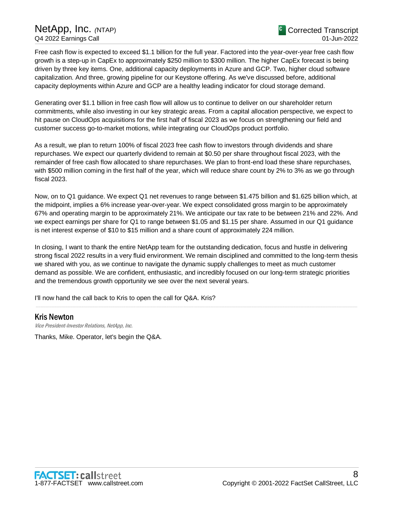Free cash flow is expected to exceed \$1.1 billion for the full year. Factored into the year-over-year free cash flow growth is a step-up in CapEx to approximately \$250 million to \$300 million. The higher CapEx forecast is being driven by three key items. One, additional capacity deployments in Azure and GCP. Two, higher cloud software capitalization. And three, growing pipeline for our Keystone offering. As we've discussed before, additional capacity deployments within Azure and GCP are a healthy leading indicator for cloud storage demand.

Generating over \$1.1 billion in free cash flow will allow us to continue to deliver on our shareholder return commitments, while also investing in our key strategic areas. From a capital allocation perspective, we expect to hit pause on CloudOps acquisitions for the first half of fiscal 2023 as we focus on strengthening our field and customer success go-to-market motions, while integrating our CloudOps product portfolio.

As a result, we plan to return 100% of fiscal 2023 free cash flow to investors through dividends and share repurchases. We expect our quarterly dividend to remain at \$0.50 per share throughout fiscal 2023, with the remainder of free cash flow allocated to share repurchases. We plan to front-end load these share repurchases, with \$500 million coming in the first half of the year, which will reduce share count by 2% to 3% as we go through fiscal 2023.

Now, on to Q1 guidance. We expect Q1 net revenues to range between \$1.475 billion and \$1.625 billion which, at the midpoint, implies a 6% increase year-over-year. We expect consolidated gross margin to be approximately 67% and operating margin to be approximately 21%. We anticipate our tax rate to be between 21% and 22%. And we expect earnings per share for Q1 to range between \$1.05 and \$1.15 per share. Assumed in our Q1 guidance is net interest expense of \$10 to \$15 million and a share count of approximately 224 million.

In closing, I want to thank the entire NetApp team for the outstanding dedication, focus and hustle in delivering strong fiscal 2022 results in a very fluid environment. We remain disciplined and committed to the long-term thesis we shared with you, as we continue to navigate the dynamic supply challenges to meet as much customer demand as possible. We are confident, enthusiastic, and incredibly focused on our long-term strategic priorities and the tremendous growth opportunity we see over the next several years.

.....................................................................................................................................................................................................................................................................

I'll now hand the call back to Kris to open the call for Q&A. Kris?

### Kris Newton

Vice President-Investor Relations, NetApp, Inc.

Thanks, Mike. Operator, let's begin the Q&A.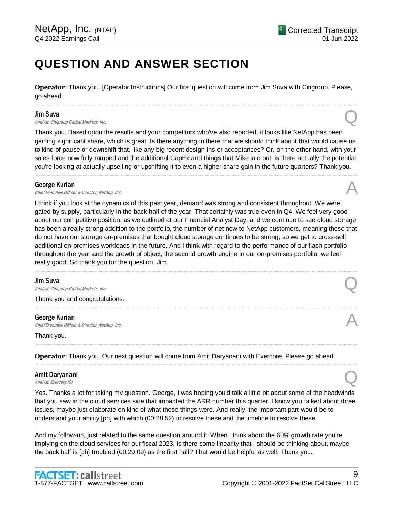## **QUESTION AND ANSWER SECTION**

**Operator**: Thank you. [Operator Instructions] Our first question will come from Jim Suva with Citigroup. Please, go ahead.

.....................................................................................................................................................................................................................................................................

#### Jim Suva

**Jim Suva**<br>Analyst, Citigroup Global Markets, Inc.  $Q$ 

Thank you. Based upon the results and your competitors who've also reported, it looks like NetApp has been gaining significant share, which is great. Is there anything in there that we should think about that would cause us to kind of pause or downshift that, like any big recent design-ins or acceptances? Or, on the other hand, with your sales force now fully ramped and the additional CapEx and things that Mike laid out, is there actually the potential you're looking at actually upselling or upshifting it to even a higher share gain in the future quarters? Thank you.

.....................................................................................................................................................................................................................................................................

### George Kurian

**George Kurian**<br>Chief Executive Officer & Director, NetApp, Inc.  $\mathcal{A}$ 

I think if you look at the dynamics of this past year, demand was strong and consistent throughout. We were gated by supply, particularly in the back half of the year. That certainly was true even in Q4. We feel very good about our competitive position, as we outlined at our Financial Analyst Day, and we continue to see cloud storage has been a really strong addition to the portfolio, the number of net new to NetApp customers, meaning those that do not have our storage on-premises that bought cloud storage continues to be strong, so we get to cross-sell additional on-premises workloads in the future. And I think with regard to the performance of our flash portfolio throughout the year and the growth of object, the second growth engine in our on-premises portfolio, we feel really good. So thank you for the question, Jim.

.....................................................................................................................................................................................................................................................................

.....................................................................................................................................................................................................................................................................

.....................................................................................................................................................................................................................................................................

.....................................................................................................................................................................................................................................................................

### Jim Suva

**Jim Suva**<br>Analyst, Citigroup Global Markets, Inc.  $Q$ 

Thank you and congratulations.

### George Kurian

**George Kurian**<br>Chief Executive Officer & Director, NetApp, Inc.  $\mathcal{A}$ 

Thank you.

**Operator**: Thank you. Our next question will come from Amit Daryanani with Evercore. Please go ahead.

### Amit Daryanani Amit Daryanani<br>Analyst, Evercore ISI

Yes. Thanks a lot for taking my question. George, I was hoping you'd talk a little bit about some of the headwinds that you saw in the cloud services side that impacted the ARR number this quarter. I know you talked about three issues, maybe just elaborate on kind of what these things were. And really, the important part would be to understand your ability [ph] with which (00:28:52) to resolve these and the timeline to resolve these.

And my follow-up, just related to the same question around it. When I think about the 60% growth rate you're implying on the cloud services for our fiscal 2023, is there some linearity that I should be thinking about, maybe the back half is [ph] troubled (00:29:09) as the first half? That would be helpful as well. Thank you.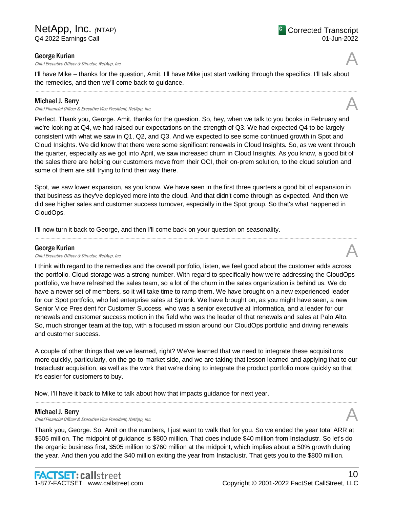### George Kurian

**George Kurian**<br>Chief Executive Officer & Director, NetApp, Inc.  $\mathcal{A}$ 

I'll have Mike – thanks for the question, Amit. I'll have Mike just start walking through the specifics. I'll talk about the remedies, and then we'll come back to guidance.

.....................................................................................................................................................................................................................................................................

### Michael J. Berry

Chief Financial Officer & Executive Vice President, NetApp, Inc. A

Perfect. Thank you, George. Amit, thanks for the question. So, hey, when we talk to you books in February and we're looking at Q4, we had raised our expectations on the strength of Q3. We had expected Q4 to be largely consistent with what we saw in Q1, Q2, and Q3. And we expected to see some continued growth in Spot and Cloud Insights. We did know that there were some significant renewals in Cloud Insights. So, as we went through the quarter, especially as we got into April, we saw increased churn in Cloud Insights. As you know, a good bit of the sales there are helping our customers move from their OCI, their on-prem solution, to the cloud solution and some of them are still trying to find their way there.

Spot, we saw lower expansion, as you know. We have seen in the first three quarters a good bit of expansion in that business as they've deployed more into the cloud. And that didn't come through as expected. And then we did see higher sales and customer success turnover, especially in the Spot group. So that's what happened in CloudOps.

.....................................................................................................................................................................................................................................................................

I'll now turn it back to George, and then I'll come back on your question on seasonality.

### George Kurian

**George Kurian**<br>Chief Executive Officer & Director, NetApp, Inc.  $\mathcal{A}$ 

I think with regard to the remedies and the overall portfolio, listen, we feel good about the customer adds across the portfolio. Cloud storage was a strong number. With regard to specifically how we're addressing the CloudOps portfolio, we have refreshed the sales team, so a lot of the churn in the sales organization is behind us. We do have a newer set of members, so it will take time to ramp them. We have brought on a new experienced leader for our Spot portfolio, who led enterprise sales at Splunk. We have brought on, as you might have seen, a new Senior Vice President for Customer Success, who was a senior executive at Informatica, and a leader for our renewals and customer success motion in the field who was the leader of that renewals and sales at Palo Alto. So, much stronger team at the top, with a focused mission around our CloudOps portfolio and driving renewals and customer success.

A couple of other things that we've learned, right? We've learned that we need to integrate these acquisitions more quickly, particularly, on the go-to-market side, and we are taking that lesson learned and applying that to our Instaclustr acquisition, as well as the work that we're doing to integrate the product portfolio more quickly so that it's easier for customers to buy.

.....................................................................................................................................................................................................................................................................

Now, I'll have it back to Mike to talk about how that impacts guidance for next year.

### Michael J. Berry

Chief Financial Officer & Executive Vice President, NetApp, Inc. A

Thank you, George. So, Amit on the numbers, I just want to walk that for you. So we ended the year total ARR at \$505 million. The midpoint of guidance is \$800 million. That does include \$40 million from Instaclustr. So let's do the organic business first, \$505 million to \$760 million at the midpoint, which implies about a 50% growth during the year. And then you add the \$40 million exiting the year from Instaclustr. That gets you to the \$800 million.





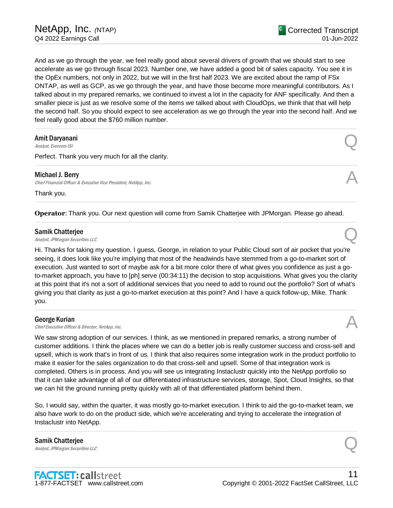And as we go through the year, we feel really good about several drivers of growth that we should start to see accelerate as we go through fiscal 2023. Number one, we have added a good bit of sales capacity. You see it in the OpEx numbers, not only in 2022, but we will in the first half 2023. We are excited about the ramp of FSx ONTAP, as well as GCP, as we go through the year, and have those become more meaningful contributors. As I talked about in my prepared remarks, we continued to invest a lot in the capacity for ANF specifically. And then a smaller piece is just as we resolve some of the items we talked about with CloudOps, we think that that will help the second half. So you should expect to see acceleration as we go through the year into the second half. And we feel really good about the \$760 million number.

.....................................................................................................................................................................................................................................................................

.....................................................................................................................................................................................................................................................................

.....................................................................................................................................................................................................................................................................

.....................................................................................................................................................................................................................................................................

### Amit Daryanani Amit Daryanani<br>Analyst, Evercore ISI

Perfect. Thank you very much for all the clarity.

### Michael J. Berry

Chief Financial Officer & Executive Vice President, NetApp, Inc.

Thank you.

**Operator**: Thank you. Our next question will come from Samik Chatterjee with JPMorgan. Please go ahead.

#### Samik Chatterjee

**Samik Chatterjee**<br>Analyst, JPMorgan Securities LLC

Hi. Thanks for taking my question. I guess, George, in relation to your Public Cloud sort of air pocket that you're seeing, it does look like you're implying that most of the headwinds have stemmed from a go-to-market sort of execution. Just wanted to sort of maybe ask for a bit more color there of what gives you confidence as just a goto-market approach, you have to [ph] serve (00:34:11) the decision to stop acquisitions. What gives you the clarity at this point that it's not a sort of additional services that you need to add to round out the portfolio? Sort of what's giving you that clarity as just a go-to-market execution at this point? And I have a quick follow-up, Mike. Thank you.

.....................................................................................................................................................................................................................................................................

#### George Kurian

**George Kurian**<br>Chief Executive Officer & Director, NetApp, Inc.  $\mathcal{A}$ 

We saw strong adoption of our services. I think, as we mentioned in prepared remarks, a strong number of customer additions. I think the places where we can do a better job is really customer success and cross-sell and upsell, which is work that's in front of us. I think that also requires some integration work in the product portfolio to make it easier for the sales organization to do that cross-sell and upsell. Some of that integration work is completed. Others is in process. And you will see us integrating Instaclustr quickly into the NetApp portfolio so that it can take advantage of all of our differentiated infrastructure services, storage, Spot, Cloud Insights, so that we can hit the ground running pretty quickly with all of that differentiated platform behind them.

So, I would say, within the quarter, it was mostly go-to-market execution. I think to aid the go-to-market team, we also have work to do on the product side, which we're accelerating and trying to accelerate the integration of Instaclustr into NetApp.

.....................................................................................................................................................................................................................................................................

Samik Chatterjee **Samik Chatterjee**<br>Analyst, JPMorgan Securities LLC

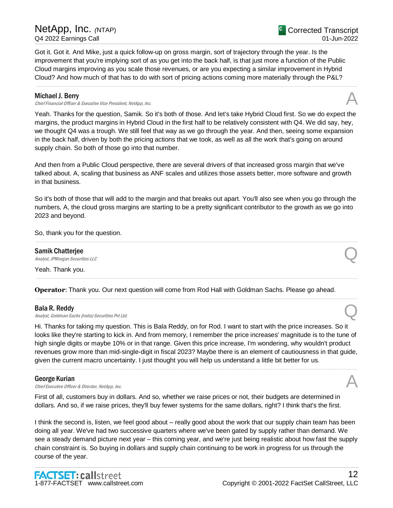Got it. Got it. And Mike, just a quick follow-up on gross margin, sort of trajectory through the year. Is the improvement that you're implying sort of as you get into the back half, is that just more a function of the Public Cloud margins improving as you scale those revenues, or are you expecting a similar improvement in Hybrid Cloud? And how much of that has to do with sort of pricing actions coming more materially through the P&L?

### Michael J. Berry

Chief Financial Officer & Executive Vice President, NetApp, Inc.

Yeah. Thanks for the question, Samik. So it's both of those. And let's take Hybrid Cloud first. So we do expect the margins, the product margins in Hybrid Cloud in the first half to be relatively consistent with Q4. We did say, hey, we thought Q4 was a trough. We still feel that way as we go through the year. And then, seeing some expansion in the back half, driven by both the pricing actions that we took, as well as all the work that's going on around supply chain. So both of those go into that number.

.....................................................................................................................................................................................................................................................................

And then from a Public Cloud perspective, there are several drivers of that increased gross margin that we've talked about. A, scaling that business as ANF scales and utilizes those assets better, more software and growth in that business.

So it's both of those that will add to the margin and that breaks out apart. You'll also see when you go through the numbers, A, the cloud gross margins are starting to be a pretty significant contributor to the growth as we go into 2023 and beyond.

.....................................................................................................................................................................................................................................................................

.....................................................................................................................................................................................................................................................................

.....................................................................................................................................................................................................................................................................

So, thank you for the question.

Samik Chatterjee **Samik Chatterjee**<br>Analyst, JPMorgan Securities LLC

Yeah. Thank you.

**Operator**: Thank you. Our next question will come from Rod Hall with Goldman Sachs. Please go ahead.

### Bala R. Reddy

**Bala R. Reddy**<br>Analyst, Goldman Sachs (India) Securities Pvt Ltd. Quarter expansion of the Security of Analyst, Goldman Sachs (India)

Hi. Thanks for taking my question. This is Bala Reddy, on for Rod. I want to start with the price increases. So it looks like they're starting to kick in. And from memory, I remember the price increases' magnitude is to the tune of high single digits or maybe 10% or in that range. Given this price increase, I'm wondering, why wouldn't product revenues grow more than mid-single-digit in fiscal 2023? Maybe there is an element of cautiousness in that guide, given the current macro uncertainty. I just thought you will help us understand a little bit better for us.

.....................................................................................................................................................................................................................................................................

### George Kurian

**George Kurian**<br>Chief Executive Officer & Director, NetApp, Inc.  $\mathcal{A}$ 

First of all, customers buy in dollars. And so, whether we raise prices or not, their budgets are determined in dollars. And so, if we raise prices, they'll buy fewer systems for the same dollars, right? I think that's the first.

I think the second is, listen, we feel good about – really good about the work that our supply chain team has been doing all year. We've had two successive quarters where we've been gated by supply rather than demand. We see a steady demand picture next year – this coming year, and we're just being realistic about how fast the supply chain constraint is. So buying in dollars and supply chain continuing to be work in progress for us through the course of the year.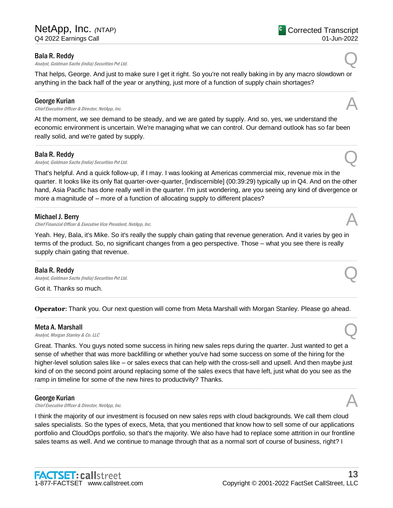### Bala R. Reddy

**Bala R. Reddy**<br>Analyst, Goldman Sachs (India) Securities Pvt Ltd. Quarter extension of the Securities Pvt Ltd.

That helps, George. And just to make sure I get it right. So you're not really baking in by any macro slowdown or anything in the back half of the year or anything, just more of a function of supply chain shortages?

.....................................................................................................................................................................................................................................................................

### George Kurian

**George Kurian**<br>Chief Executive Officer & Director, NetApp, Inc.  $\mathcal{A}$ 

At the moment, we see demand to be steady, and we are gated by supply. And so, yes, we understand the economic environment is uncertain. We're managing what we can control. Our demand outlook has so far been really solid, and we're gated by supply.

.....................................................................................................................................................................................................................................................................

### Bala R. Reddy

**Bala R. Reddy**<br>Analyst, Goldman Sachs (India) Securities Pvt Ltd. Quarter extension of the Security of Analyst, Goldman Sachs (India)

That's helpful. And a quick follow-up, if I may. I was looking at Americas commercial mix, revenue mix in the quarter. It looks like its only flat quarter-over-quarter, [indiscernible] (00:39:29) typically up in Q4. And on the other hand, Asia Pacific has done really well in the quarter. I'm just wondering, are you seeing any kind of divergence or more a magnitude of – more of a function of allocating supply to different places?

.....................................................................................................................................................................................................................................................................

### Michael J. Berry

Chief Financial Officer & Executive Vice President, NetApp, Inc.

Yeah. Hey, Bala, it's Mike. So it's really the supply chain gating that revenue generation. And it varies by geo in terms of the product. So, no significant changes from a geo perspective. Those – what you see there is really supply chain gating that revenue.

.....................................................................................................................................................................................................................................................................

### Bala R. Reddy

**Bala R. Reddy**<br>Analyst, Goldman Sachs (India) Securities Pvt Ltd. Quarter expansion of the Security of Analyst, Goldman Sachs (India)

Got it. Thanks so much.

**Operator**: Thank you. Our next question will come from Meta Marshall with Morgan Stanley. Please go ahead. .....................................................................................................................................................................................................................................................................

.....................................................................................................................................................................................................................................................................

### Meta A. Marshall

**Meta A. Marshall**<br>Analyst, Morgan Stanley & Co. LLC  $\mathcal{Q}$ 

Great. Thanks. You guys noted some success in hiring new sales reps during the quarter. Just wanted to get a sense of whether that was more backfilling or whether you've had some success on some of the hiring for the higher-level solution sales like – or sales execs that can help with the cross-sell and upsell. And then maybe just kind of on the second point around replacing some of the sales execs that have left, just what do you see as the ramp in timeline for some of the new hires to productivity? Thanks.

.....................................................................................................................................................................................................................................................................

### George Kurian

**George Kurian**<br>Chief Executive Officer & Director, NetApp, Inc.  $\mathcal{A}$ 

I think the majority of our investment is focused on new sales reps with cloud backgrounds. We call them cloud sales specialists. So the types of execs, Meta, that you mentioned that know how to sell some of our applications portfolio and CloudOps portfolio, so that's the majority. We also have had to replace some attrition in our frontline sales teams as well. And we continue to manage through that as a normal sort of course of business, right? I



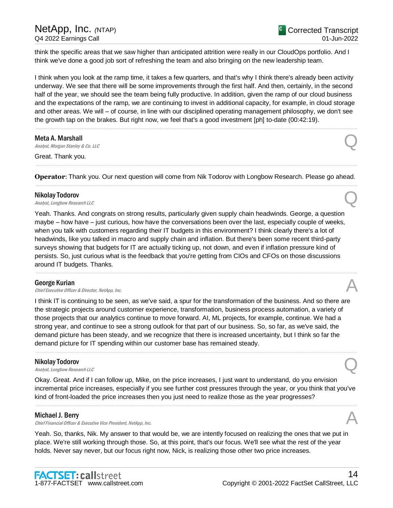think the specific areas that we saw higher than anticipated attrition were really in our CloudOps portfolio. And I think we've done a good job sort of refreshing the team and also bringing on the new leadership team.

I think when you look at the ramp time, it takes a few quarters, and that's why I think there's already been activity underway. We see that there will be some improvements through the first half. And then, certainly, in the second half of the year, we should see the team being fully productive. In addition, given the ramp of our cloud business and the expectations of the ramp, we are continuing to invest in additional capacity, for example, in cloud storage and other areas. We will – of course, in line with our disciplined operating management philosophy, we don't see the growth tap on the brakes. But right now, we feel that's a good investment [ph] to-date (00:42:19).

.....................................................................................................................................................................................................................................................................

Meta A. Marshall **Meta A. Marshall**<br>Analyst, Morgan Stanley & Co. LLC  $\mathcal{Q}$ 

Great. Thank you.

**Operator**: Thank you. Our next question will come from Nik Todorov with Longbow Research. Please go ahead. .....................................................................................................................................................................................................................................................................

.....................................................................................................................................................................................................................................................................

### Nikolay Todorov

**Nikolay Todorov**<br>Analyst, Longbow Research LLC

Yeah. Thanks. And congrats on strong results, particularly given supply chain headwinds. George, a question maybe – how have – just curious, how have the conversations been over the last, especially couple of weeks, when you talk with customers regarding their IT budgets in this environment? I think clearly there's a lot of headwinds, like you talked in macro and supply chain and inflation. But there's been some recent third-party surveys showing that budgets for IT are actually ticking up, not down, and even if inflation pressure kind of persists. So, just curious what is the feedback that you're getting from CIOs and CFOs on those discussions around IT budgets. Thanks.

.....................................................................................................................................................................................................................................................................

### George Kurian

**George Kurian**<br>Chief Executive Officer & Director, NetApp, Inc.  $\mathcal{A}$ 

I think IT is continuing to be seen, as we've said, a spur for the transformation of the business. And so there are the strategic projects around customer experience, transformation, business process automation, a variety of those projects that our analytics continue to move forward. AI, ML projects, for example, continue. We had a strong year, and continue to see a strong outlook for that part of our business. So, so far, as we've said, the demand picture has been steady, and we recognize that there is increased uncertainty, but I think so far the demand picture for IT spending within our customer base has remained steady.

### Nikolay Todorov

**Nikolay Todorov**<br>Analyst, Longbow Research LLC

Okay. Great. And if I can follow up, Mike, on the price increases, I just want to understand, do you envision incremental price increases, especially if you see further cost pressures through the year, or you think that you've kind of front-loaded the price increases then you just need to realize those as the year progresses?

.....................................................................................................................................................................................................................................................................

.....................................................................................................................................................................................................................................................................

### Michael J. Berry

Chief Financial Officer & Executive Vice President, NetApp, Inc. A

Yeah. So, thanks, Nik. My answer to that would be, we are intently focused on realizing the ones that we put in place. We're still working through those. So, at this point, that's our focus. We'll see what the rest of the year holds. Never say never, but our focus right now, Nick, is realizing those other two price increases.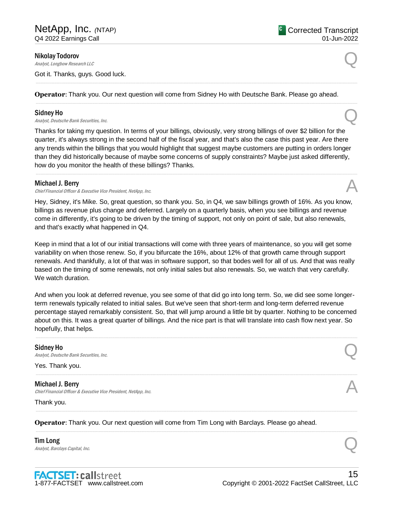Nikolay Todorov

**Nikolay Todorov**<br>Analyst, Longbow Research LLC

Got it. Thanks, guys. Good luck.

**Operator**: Thank you. Our next question will come from Sidney Ho with Deutsche Bank. Please go ahead.

.....................................................................................................................................................................................................................................................................

.....................................................................................................................................................................................................................................................................

### Sidney Ho

**Sidney Ho**<br>Analyst, Deutsche Bank Securities, Inc.  $\mathbb{Q}$ 

Thanks for taking my question. In terms of your billings, obviously, very strong billings of over \$2 billion for the quarter, it's always strong in the second half of the fiscal year, and that's also the case this past year. Are there any trends within the billings that you would highlight that suggest maybe customers are putting in orders longer than they did historically because of maybe some concerns of supply constraints? Maybe just asked differently, how do you monitor the health of these billings? Thanks.

.....................................................................................................................................................................................................................................................................

### Michael J. Berry

Chief Financial Officer & Executive Vice President, NetApp, Inc.

Hey, Sidney, it's Mike. So, great question, so thank you. So, in Q4, we saw billings growth of 16%. As you know, billings as revenue plus change and deferred. Largely on a quarterly basis, when you see billings and revenue come in differently, it's going to be driven by the timing of support, not only on point of sale, but also renewals, and that's exactly what happened in Q4.

Keep in mind that a lot of our initial transactions will come with three years of maintenance, so you will get some variability on when those renew. So, if you bifurcate the 16%, about 12% of that growth came through support renewals. And thankfully, a lot of that was in software support, so that bodes well for all of us. And that was really based on the timing of some renewals, not only initial sales but also renewals. So, we watch that very carefully. We watch duration.

And when you look at deferred revenue, you see some of that did go into long term. So, we did see some longerterm renewals typically related to initial sales. But we've seen that short-term and long-term deferred revenue percentage stayed remarkably consistent. So, that will jump around a little bit by quarter. Nothing to be concerned about on this. It was a great quarter of billings. And the nice part is that will translate into cash flow next year. So hopefully, that helps.

.....................................................................................................................................................................................................................................................................

.....................................................................................................................................................................................................................................................................

.....................................................................................................................................................................................................................................................................

.....................................................................................................................................................................................................................................................................

### Sidney Ho

Sidney Ho<br>Analyst, Deutsche Bank Securities, Inc.  $\mathbb Q$ 

Yes. Thank you.

Michael J. Berry Chief Financial Officer & Executive Vice President, NetApp, Inc. A

Thank you.

**Operator**: Thank you. Our next question will come from Tim Long with Barclays. Please go ahead.

### Tim Long **Tim Long**<br>Analyst, Barclays Capital, Inc.  $\qquad \qquad \qquad \qquad$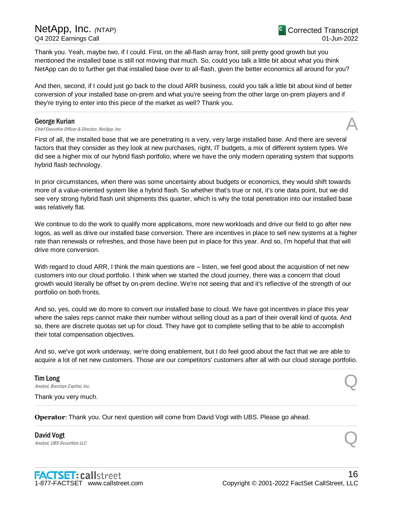## NetApp, Inc. *(*NTAP) Q4 2022 Earnings Call

Thank you. Yeah, maybe two, if I could. First, on the all-flash array front, still pretty good growth but you mentioned the installed base is still not moving that much. So, could you talk a little bit about what you think NetApp can do to further get that installed base over to all-flash, given the better economics all around for you?

And then, second, if I could just go back to the cloud ARR business, could you talk a little bit about kind of better conversion of your installed base on-prem and what you're seeing from the other large on-prem players and if they're trying to enter into this piece of the market as well? Thank you.

.....................................................................................................................................................................................................................................................................

### George Kurian

**George Kurian**<br>Chief Executive Officer & Director, NetApp, Inc.  $\mathcal{A}$ 

First of all, the installed base that we are penetrating is a very, very large installed base. And there are several factors that they consider as they look at new purchases, right, IT budgets, a mix of different system types. We did see a higher mix of our hybrid flash portfolio, where we have the only modern operating system that supports hybrid flash technology.

In prior circumstances, when there was some uncertainty about budgets or economics, they would shift towards more of a value-oriented system like a hybrid flash. So whether that's true or not, it's one data point, but we did see very strong hybrid flash unit shipments this quarter, which is why the total penetration into our installed base was relatively flat.

We continue to do the work to qualify more applications, more new workloads and drive our field to go after new logos, as well as drive our installed base conversion. There are incentives in place to sell new systems at a higher rate than renewals or refreshes, and those have been put in place for this year. And so, I'm hopeful that that will drive more conversion.

With regard to cloud ARR, I think the main questions are – listen, we feel good about the acquisition of net new customers into our cloud portfolio. I think when we started the cloud journey, there was a concern that cloud growth would literally be offset by on-prem decline. We're not seeing that and it's reflective of the strength of our portfolio on both fronts.

And so, yes, could we do more to convert our installed base to cloud. We have got incentives in place this year where the sales reps cannot make their number without selling cloud as a part of their overall kind of quota. And so, there are discrete quotas set up for cloud. They have got to complete selling that to be able to accomplish their total compensation objectives.

And so, we've got work underway, we're doing enablement, but I do feel good about the fact that we are able to acquire a lot of net new customers. Those are our competitors' customers after all with our cloud storage portfolio. .....................................................................................................................................................................................................................................................................

.....................................................................................................................................................................................................................................................................

.....................................................................................................................................................................................................................................................................

Tim Long **Tim Long**<br>Analyst, Barclays Capital, Inc.  $\qquad \qquad \qquad \qquad$ 

Thank you very much.

**Operator**: Thank you. Our next question will come from David Vogt with UBS. Please go ahead.

David Vogt David Vogt<br>Analyst, UBS Securities LLC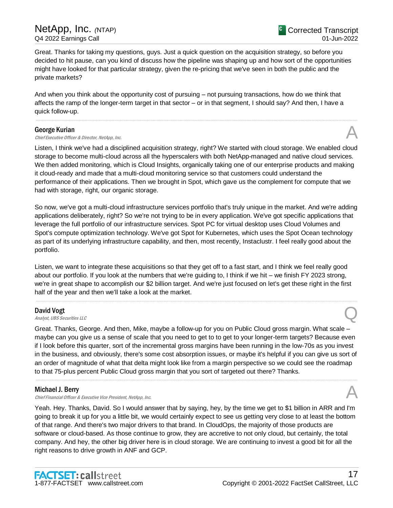Great. Thanks for taking my questions, guys. Just a quick question on the acquisition strategy, so before you decided to hit pause, can you kind of discuss how the pipeline was shaping up and how sort of the opportunities might have looked for that particular strategy, given the re-pricing that we've seen in both the public and the private markets?

And when you think about the opportunity cost of pursuing – not pursuing transactions, how do we think that affects the ramp of the longer-term target in that sector – or in that segment, I should say? And then, I have a quick follow-up.

### George Kurian

**George Kurian**<br>Chief Executive Officer & Director, NetApp, Inc.  $\mathcal{A}$ 

Listen, I think we've had a disciplined acquisition strategy, right? We started with cloud storage. We enabled cloud storage to become multi-cloud across all the hyperscalers with both NetApp-managed and native cloud services. We then added monitoring, which is Cloud Insights, organically taking one of our enterprise products and making it cloud-ready and made that a multi-cloud monitoring service so that customers could understand the performance of their applications. Then we brought in Spot, which gave us the complement for compute that we had with storage, right, our organic storage.

.....................................................................................................................................................................................................................................................................

So now, we've got a multi-cloud infrastructure services portfolio that's truly unique in the market. And we're adding applications deliberately, right? So we're not trying to be in every application. We've got specific applications that leverage the full portfolio of our infrastructure services. Spot PC for virtual desktop uses Cloud Volumes and Spot's compute optimization technology. We've got Spot for Kubernetes, which uses the Spot Ocean technology as part of its underlying infrastructure capability, and then, most recently, Instaclustr. I feel really good about the portfolio.

Listen, we want to integrate these acquisitions so that they get off to a fast start, and I think we feel really good about our portfolio. If you look at the numbers that we're guiding to, I think if we hit – we finish FY 2023 strong, we're in great shape to accomplish our \$2 billion target. And we're just focused on let's get these right in the first half of the year and then we'll take a look at the market.

.....................................................................................................................................................................................................................................................................

### David Vogt

David Vogt<br>Analyst, UBS Securities LLC

Great. Thanks, George. And then, Mike, maybe a follow-up for you on Public Cloud gross margin. What scale – maybe can you give us a sense of scale that you need to get to to get to your longer-term targets? Because even if I look before this quarter, sort of the incremental gross margins have been running in the low-70s as you invest in the business, and obviously, there's some cost absorption issues, or maybe it's helpful if you can give us sort of an order of magnitude of what that delta might look like from a margin perspective so we could see the roadmap to that 75-plus percent Public Cloud gross margin that you sort of targeted out there? Thanks.

.....................................................................................................................................................................................................................................................................

## Michael J. Berry

Chief Financial Officer & Executive Vice President, NetApp, Inc.

Yeah. Hey. Thanks, David. So I would answer that by saying, hey, by the time we get to \$1 billion in ARR and I'm going to break it up for you a little bit, we would certainly expect to see us getting very close to at least the bottom of that range. And there's two major drivers to that brand. In CloudOps, the majority of those products are software or cloud-based. As those continue to grow, they are accretive to not only cloud, but certainly, the total company. And hey, the other big driver here is in cloud storage. We are continuing to invest a good bit for all the right reasons to drive growth in ANF and GCP.

<sup>C</sup> Corrected Transcript 01-Jun-2022

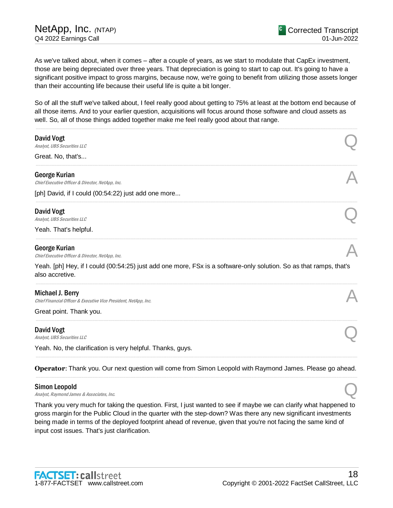As we've talked about, when it comes – after a couple of years, as we start to modulate that CapEx investment, those are being depreciated over three years. That depreciation is going to start to cap out. It's going to have a significant positive impact to gross margins, because now, we're going to benefit from utilizing those assets longer than their accounting life because their useful life is quite a bit longer.

So of all the stuff we've talked about, I feel really good about getting to 75% at least at the bottom end because of all those items. And to your earlier question, acquisitions will focus around those software and cloud assets as well. So, all of those things added together make me feel really good about that range.

| David Vogt<br>Analyst, UBS Securities LLC                                                                                             |  |
|---------------------------------------------------------------------------------------------------------------------------------------|--|
| Great. No, that's                                                                                                                     |  |
| George Kurian<br>Chief Executive Officer & Director, NetApp, Inc.                                                                     |  |
| [ph] David, if I could (00:54:22) just add one more                                                                                   |  |
| David Vogt<br>Analyst, UBS Securities LLC                                                                                             |  |
| Yeah. That's helpful.                                                                                                                 |  |
| George Kurian<br>Chief Executive Officer & Director, NetApp, Inc.                                                                     |  |
| Yeah. [ph] Hey, if I could (00:54:25) just add one more, FSx is a software-only solution. So as that ramps, that's<br>also accretive. |  |
| Michael J. Berry<br>Chief Financial Officer & Executive Vice President, NetApp, Inc.                                                  |  |
| Great point. Thank you.                                                                                                               |  |
| David Vogt<br>Analyst, UBS Securities LLC                                                                                             |  |
| Yeah. No, the clarification is very helpful. Thanks, guys.                                                                            |  |
| Operator: Thank you. Our next question will come from Simon Leopold with Raymond James. Please go ahead.                              |  |

### Simon Leopold

**Simon Leopold**<br>Analyst, Raymond James & Associates, Inc.  $Q$ 

Thank you very much for taking the question. First, I just wanted to see if maybe we can clarify what happened to gross margin for the Public Cloud in the quarter with the step-down? Was there any new significant investments being made in terms of the deployed footprint ahead of revenue, given that you're not facing the same kind of input cost issues. That's just clarification.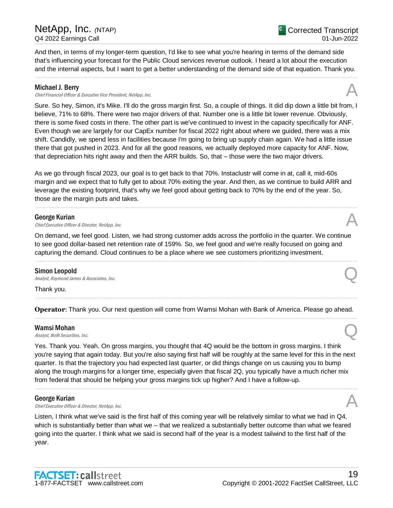And then, in terms of my longer-term question, I'd like to see what you're hearing in terms of the demand side that's influencing your forecast for the Public Cloud services revenue outlook. I heard a lot about the execution and the internal aspects, but I want to get a better understanding of the demand side of that equation. Thank you.

.....................................................................................................................................................................................................................................................................

### Michael J. Berry

Chief Financial Officer & Executive Vice President, NetApp, Inc. A

Sure. So hey, Simon, it's Mike. I'll do the gross margin first. So, a couple of things. It did dip down a little bit from, I believe, 71% to 68%. There were two major drivers of that. Number one is a little bit lower revenue. Obviously, there is some fixed costs in there. The other part is we've continued to invest in the capacity specifically for ANF. Even though we are largely for our CapEx number for fiscal 2022 right about where we guided, there was a mix shift. Candidly, we spend less in facilities because I'm going to bring up supply chain again. We had a little issue there that got pushed in 2023. And for all the good reasons, we actually deployed more capacity for ANF. Now, that depreciation hits right away and then the ARR builds. So, that – those were the two major drivers.

As we go through fiscal 2023, our goal is to get back to that 70%. Instaclustr will come in at, call it, mid-60s margin and we expect that to fully get to about 70% exiting the year. And then, as we continue to build ARR and leverage the existing footprint, that's why we feel good about getting back to 70% by the end of the year. So, those are the margin puts and takes.

.....................................................................................................................................................................................................................................................................

### George Kurian

**George Kurian**<br>Chief Executive Officer & Director, NetApp, Inc.  $\mathcal{A}$ 

On demand, we feel good. Listen, we had strong customer adds across the portfolio in the quarter. We continue to see good dollar-based net retention rate of 159%. So, we feel good and we're really focused on going and capturing the demand. Cloud continues to be a place where we see customers prioritizing investment.

.....................................................................................................................................................................................................................................................................

### Simon Leopold

**Simon Leopold**  $\Omega$ <br>Analyst, Raymond James & Associates, Inc. Q

Thank you.

**Operator**: Thank you. Our next question will come from Wamsi Mohan with Bank of America. Please go ahead. .....................................................................................................................................................................................................................................................................

.....................................................................................................................................................................................................................................................................

### Wamsi Mohan

**Wamsi Mohan**<br>Analyst, BofA Securities, Inc.  $\bigotimes$ 

Yes. Thank you. Yeah. On gross margins, you thought that 4Q would be the bottom in gross margins. I think you're saying that again today. But you're also saying first half will be roughly at the same level for this in the next quarter. Is that the trajectory you had expected last quarter, or did things change on us causing you to bump along the trough margins for a longer time, especially given that fiscal 2Q, you typically have a much richer mix from federal that should be helping your gross margins tick up higher? And I have a follow-up.

.....................................................................................................................................................................................................................................................................

### George Kurian

**George Kurian**<br>Chief Executive Officer & Director, NetApp, Inc.  $\mathcal{A}$ 

Listen, I think what we've said is the first half of this coming year will be relatively similar to what we had in Q4, which is substantially better than what we – that we realized a substantially better outcome than what we feared going into the quarter. I think what we said is second half of the year is a modest tailwind to the first half of the year.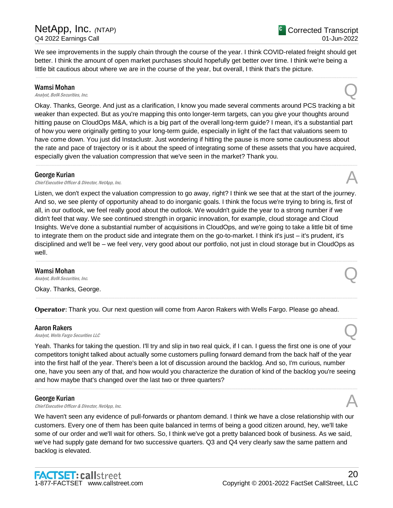We see improvements in the supply chain through the course of the year. I think COVID-related freight should get better. I think the amount of open market purchases should hopefully get better over time. I think we're being a little bit cautious about where we are in the course of the year, but overall, I think that's the picture.

.....................................................................................................................................................................................................................................................................

### Wamsi Mohan

**Wamsi Mohan**<br>Analyst, BofA Securities, Inc.  $\bigotimes$ 

Okay. Thanks, George. And just as a clarification, I know you made several comments around PCS tracking a bit weaker than expected. But as you're mapping this onto longer-term targets, can you give your thoughts around hitting pause on CloudOps M&A, which is a big part of the overall long-term guide? I mean, it's a substantial part of how you were originally getting to your long-term guide, especially in light of the fact that valuations seem to have come down. You just did Instaclustr. Just wondering if hitting the pause is more some cautiousness about the rate and pace of trajectory or is it about the speed of integrating some of these assets that you have acquired, especially given the valuation compression that we've seen in the market? Thank you.

.....................................................................................................................................................................................................................................................................

### George Kurian

**George Kurian**<br>Chief Executive Officer & Director, NetApp, Inc.  $\mathcal{A}$ 

Listen, we don't expect the valuation compression to go away, right? I think we see that at the start of the journey. And so, we see plenty of opportunity ahead to do inorganic goals. I think the focus we're trying to bring is, first of all, in our outlook, we feel really good about the outlook. We wouldn't guide the year to a strong number if we didn't feel that way. We see continued strength in organic innovation, for example, cloud storage and Cloud Insights. We've done a substantial number of acquisitions in CloudOps, and we're going to take a little bit of time to integrate them on the product side and integrate them on the go-to-market. I think it's just – it's prudent, it's disciplined and we'll be – we feel very, very good about our portfolio, not just in cloud storage but in CloudOps as well. .....................................................................................................................................................................................................................................................................

### Wamsi Mohan

**Wamsi Mohan**<br>Analyst, BofA Securities, Inc.  $\bigotimes$ 

Okay. Thanks, George.

**Operator**: Thank you. Our next question will come from Aaron Rakers with Wells Fargo. Please go ahead.

.....................................................................................................................................................................................................................................................................

.....................................................................................................................................................................................................................................................................

### Aaron Rakers

**Aaron Rakers**<br>Analyst, Wells Fargo Securities LLC

Yeah. Thanks for taking the question. I'll try and slip in two real quick, if I can. I guess the first one is one of your competitors tonight talked about actually some customers pulling forward demand from the back half of the year into the first half of the year. There's been a lot of discussion around the backlog. And so, I'm curious, number one, have you seen any of that, and how would you characterize the duration of kind of the backlog you're seeing and how maybe that's changed over the last two or three quarters?

.....................................................................................................................................................................................................................................................................

### George Kurian

**George Kurian**<br>Chief Executive Officer & Director, NetApp, Inc.  $\mathcal{A}$ 

We haven't seen any evidence of pull-forwards or phantom demand. I think we have a close relationship with our customers. Every one of them has been quite balanced in terms of being a good citizen around, hey, we'll take some of our order and we'll wait for others. So, I think we've got a pretty balanced book of business. As we said, we've had supply gate demand for two successive quarters. Q3 and Q4 very clearly saw the same pattern and backlog is elevated.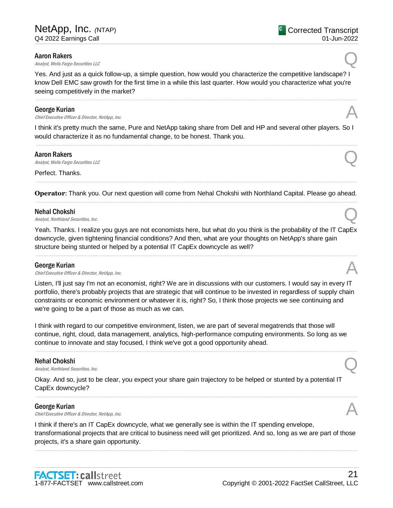### Aaron Rakers

**Aaron Rakers**<br>Analyst, Wells Fargo Securities LLC

Yes. And just as a quick follow-up, a simple question, how would you characterize the competitive landscape? I know Dell EMC saw growth for the first time in a while this last quarter. How would you characterize what you're seeing competitively in the market?

.....................................................................................................................................................................................................................................................................

### George Kurian

**George Kurian**<br>Chief Executive Officer & Director, NetApp, Inc.  $\mathcal{A}$ 

I think it's pretty much the same, Pure and NetApp taking share from Dell and HP and several other players. So I would characterize it as no fundamental change, to be honest. Thank you. .....................................................................................................................................................................................................................................................................

### Aaron Rakers

**Aaron Rakers**<br>Analyst, Wells Fargo Securities LLC

Perfect. Thanks.

..................................................................................................................................................................................................................................................................... **Operator**: Thank you. Our next question will come from Nehal Chokshi with Northland Capital. Please go ahead. .....................................................................................................................................................................................................................................................................

### Nehal Chokshi

**Nehal Chokshi**<br>Analyst, Northland Securities, Inc.  $\bigotimes$ 

Yeah. Thanks. I realize you guys are not economists here, but what do you think is the probability of the IT CapEx downcycle, given tightening financial conditions? And then, what are your thoughts on NetApp's share gain structure being stunted or helped by a potential IT CapEx downcycle as well?

.....................................................................................................................................................................................................................................................................

### George Kurian

**George Kurian**<br>Chief Executive Officer & Director, NetApp, Inc.  $\mathcal{A}$ 

Listen, I'll just say I'm not an economist, right? We are in discussions with our customers. I would say in every IT portfolio, there's probably projects that are strategic that will continue to be invested in regardless of supply chain constraints or economic environment or whatever it is, right? So, I think those projects we see continuing and we're going to be a part of those as much as we can.

I think with regard to our competitive environment, listen, we are part of several megatrends that those will continue, right, cloud, data management, analytics, high-performance computing environments. So long as we continue to innovate and stay focused, I think we've got a good opportunity ahead.

.....................................................................................................................................................................................................................................................................

### Nehal Chokshi

**Nehal Chokshi**<br>Analyst, Northland Securities, Inc.  $\bigotimes$ 

Okay. And so, just to be clear, you expect your share gain trajectory to be helped or stunted by a potential IT CapEx downcycle?

### George Kurian

**George Kurian**<br>Chief Executive Officer & Director, NetApp, Inc.  $\mathcal{A}$ 

I think if there's an IT CapEx downcycle, what we generally see is within the IT spending envelope, transformational projects that are critical to business need will get prioritized. And so, long as we are part of those projects, it's a share gain opportunity.

.....................................................................................................................................................................................................................................................................

.....................................................................................................................................................................................................................................................................



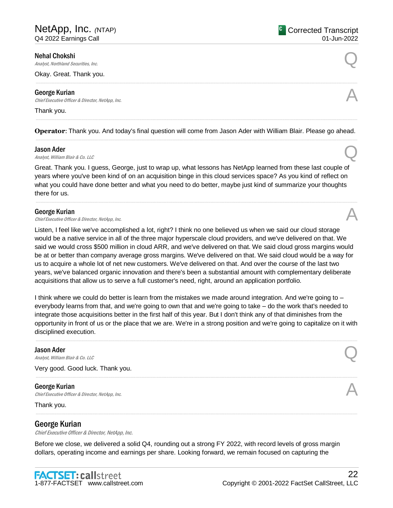### Nehal Chokshi

**Nehal Chokshi**<br>Analyst, Northland Securities, Inc.  $\bigotimes$ 

Okay. Great. Thank you.

### George Kurian

**George Kurian**<br>Chief Executive Officer & Director, NetApp, Inc.  $\mathcal{A}$ 

#### Thank you.

..................................................................................................................................................................................................................................................................... **Operator**: Thank you. And today's final question will come from Jason Ader with William Blair. Please go ahead. .....................................................................................................................................................................................................................................................................

**Jason Ader**<br>Analyst, William Blair & Co. LLC **Jason Ader**<br>Analyst, William Blair & Co. LLC **Quarter** 

Great. Thank you. I guess, George, just to wrap up, what lessons has NetApp learned from these last couple of years where you've been kind of on an acquisition binge in this cloud services space? As you kind of reflect on what you could have done better and what you need to do better, maybe just kind of summarize your thoughts there for us.

.....................................................................................................................................................................................................................................................................

### George Kurian

**George Kurian**<br>Chief Executive Officer & Director, NetApp, Inc.  $\mathcal{A}$ 

Listen, I feel like we've accomplished a lot, right? I think no one believed us when we said our cloud storage would be a native service in all of the three major hyperscale cloud providers, and we've delivered on that. We said we would cross \$500 million in cloud ARR, and we've delivered on that. We said cloud gross margins would be at or better than company average gross margins. We've delivered on that. We said cloud would be a way for us to acquire a whole lot of net new customers. We've delivered on that. And over the course of the last two years, we've balanced organic innovation and there's been a substantial amount with complementary deliberate acquisitions that allow us to serve a full customer's need, right, around an application portfolio.

I think where we could do better is learn from the mistakes we made around integration. And we're going to – everybody learns from that, and we're going to own that and we're going to take – do the work that's needed to integrate those acquisitions better in the first half of this year. But I don't think any of that diminishes from the opportunity in front of us or the place that we are. We're in a strong position and we're going to capitalize on it with disciplined execution.

.....................................................................................................................................................................................................................................................................

.....................................................................................................................................................................................................................................................................

#### Jason Ader

**Jason Ader**<br>Analyst, William Blair & Co. LLC **Quarter** 

Very good. Good luck. Thank you.

### George Kurian

**George Kurian**<br>Chief Executive Officer & Director, NetApp, Inc.  $\mathcal{A}$ 

Thank you.

### George Kurian

Chief Executive Officer & Director, NetApp, Inc.

Before we close, we delivered a solid Q4, rounding out a strong FY 2022, with record levels of gross margin dollars, operating income and earnings per share. Looking forward, we remain focused on capturing the